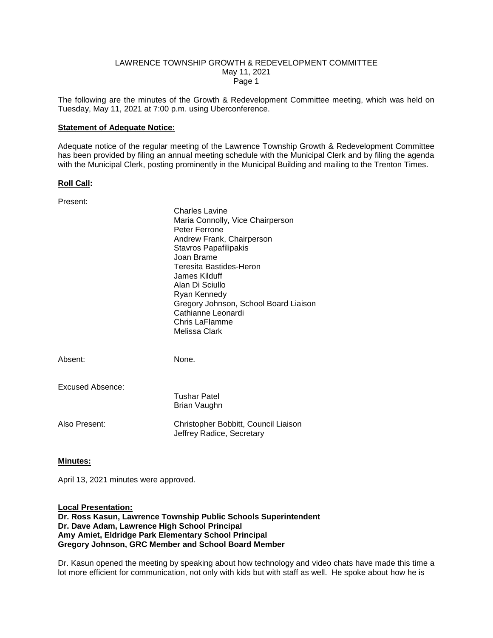#### LAWRENCE TOWNSHIP GROWTH & REDEVELOPMENT COMMITTEE May 11, 2021 Page 1

The following are the minutes of the Growth & Redevelopment Committee meeting, which was held on Tuesday, May 11, 2021 at 7:00 p.m. using Uberconference.

#### **Statement of Adequate Notice:**

Adequate notice of the regular meeting of the Lawrence Township Growth & Redevelopment Committee has been provided by filing an annual meeting schedule with the Municipal Clerk and by filing the agenda with the Municipal Clerk, posting prominently in the Municipal Building and mailing to the Trenton Times.

#### **Roll Call:**

| Present:                | Charles Lavine<br>Maria Connolly, Vice Chairperson<br>Peter Ferrone<br>Andrew Frank, Chairperson<br><b>Stavros Papafilipakis</b><br>Joan Brame<br>Teresita Bastides-Heron<br>James Kilduff<br>Alan Di Sciullo<br>Ryan Kennedy<br>Gregory Johnson, School Board Liaison<br>Cathianne Leonardi<br>Chris LaFlamme<br>Melissa Clark |
|-------------------------|---------------------------------------------------------------------------------------------------------------------------------------------------------------------------------------------------------------------------------------------------------------------------------------------------------------------------------|
| Absent:                 | None.                                                                                                                                                                                                                                                                                                                           |
| <b>Excused Absence:</b> | <b>Tushar Patel</b><br>Brian Vaughn                                                                                                                                                                                                                                                                                             |
| Also Present:           | Christopher Bobbitt, Council Liaison<br>Jeffrey Radice, Secretary                                                                                                                                                                                                                                                               |

### **Minutes:**

April 13, 2021 minutes were approved.

**Local Presentation: Dr. Ross Kasun, Lawrence Township Public Schools Superintendent Dr. Dave Adam, Lawrence High School Principal Amy Amiet, Eldridge Park Elementary School Principal Gregory Johnson, GRC Member and School Board Member**

Dr. Kasun opened the meeting by speaking about how technology and video chats have made this time a lot more efficient for communication, not only with kids but with staff as well. He spoke about how he is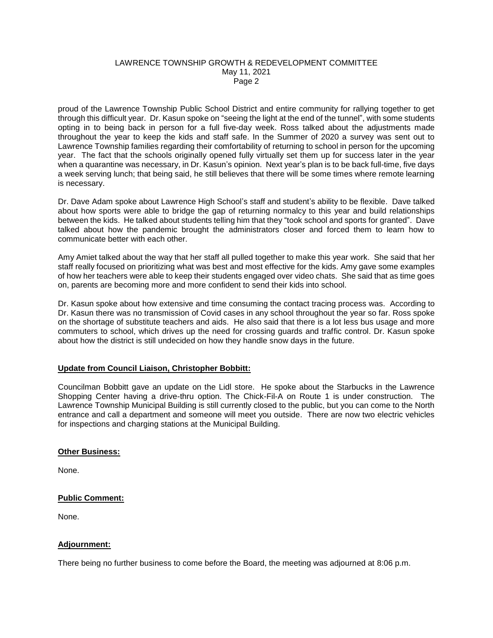## LAWRENCE TOWNSHIP GROWTH & REDEVELOPMENT COMMITTEE May 11, 2021 Page 2

proud of the Lawrence Township Public School District and entire community for rallying together to get through this difficult year. Dr. Kasun spoke on "seeing the light at the end of the tunnel", with some students opting in to being back in person for a full five-day week. Ross talked about the adjustments made throughout the year to keep the kids and staff safe. In the Summer of 2020 a survey was sent out to Lawrence Township families regarding their comfortability of returning to school in person for the upcoming year. The fact that the schools originally opened fully virtually set them up for success later in the year when a quarantine was necessary, in Dr. Kasun's opinion. Next year's plan is to be back full-time, five days a week serving lunch; that being said, he still believes that there will be some times where remote learning is necessary.

Dr. Dave Adam spoke about Lawrence High School's staff and student's ability to be flexible. Dave talked about how sports were able to bridge the gap of returning normalcy to this year and build relationships between the kids. He talked about students telling him that they "took school and sports for granted". Dave talked about how the pandemic brought the administrators closer and forced them to learn how to communicate better with each other.

Amy Amiet talked about the way that her staff all pulled together to make this year work. She said that her staff really focused on prioritizing what was best and most effective for the kids. Amy gave some examples of how her teachers were able to keep their students engaged over video chats. She said that as time goes on, parents are becoming more and more confident to send their kids into school.

Dr. Kasun spoke about how extensive and time consuming the contact tracing process was. According to Dr. Kasun there was no transmission of Covid cases in any school throughout the year so far. Ross spoke on the shortage of substitute teachers and aids. He also said that there is a lot less bus usage and more commuters to school, which drives up the need for crossing guards and traffic control. Dr. Kasun spoke about how the district is still undecided on how they handle snow days in the future.

# **Update from Council Liaison, Christopher Bobbitt:**

Councilman Bobbitt gave an update on the Lidl store. He spoke about the Starbucks in the Lawrence Shopping Center having a drive-thru option. The Chick-Fil-A on Route 1 is under construction. The Lawrence Township Municipal Building is still currently closed to the public, but you can come to the North entrance and call a department and someone will meet you outside. There are now two electric vehicles for inspections and charging stations at the Municipal Building.

### **Other Business:**

None.

# **Public Comment:**

None.

# **Adjournment:**

There being no further business to come before the Board, the meeting was adjourned at 8:06 p.m.